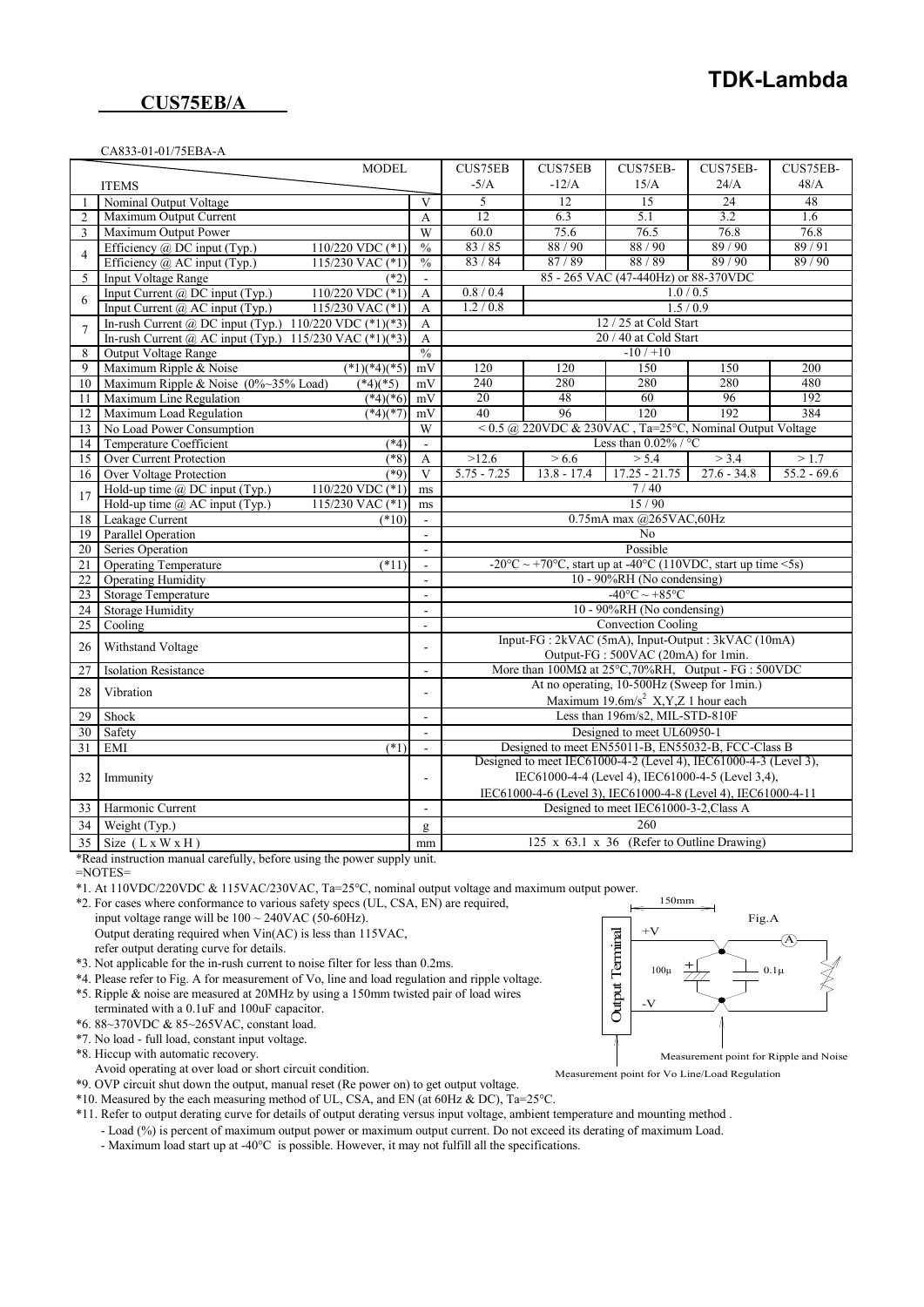## **CUS75EB/A**

#### CA833-01-01/75EBA-A

|                | <b>MODEL</b>                                                  |                          | <b>CUS75EB</b>                                                                                                         | <b>CUS75EB</b>                                                                             | CUS75EB-                                       | CUS75EB-      | CUS75EB-      |  |
|----------------|---------------------------------------------------------------|--------------------------|------------------------------------------------------------------------------------------------------------------------|--------------------------------------------------------------------------------------------|------------------------------------------------|---------------|---------------|--|
|                | <b>ITEMS</b>                                                  |                          | $-5/A$                                                                                                                 | $-12/A$                                                                                    | 15/A                                           | 24/A          | 48/A          |  |
|                | Nominal Output Voltage                                        | V                        | 5                                                                                                                      | 12                                                                                         | 15                                             | 24            | 48            |  |
| $\overline{2}$ | Maximum Output Current                                        | A                        | 12                                                                                                                     | 6.3                                                                                        | $\overline{5.1}$                               | 3.2           | 1.6           |  |
| 3              | Maximum Output Power                                          | W                        | 60.0                                                                                                                   | 75.6                                                                                       | 76.5                                           | 76.8          | 76.8          |  |
|                | Efficiency @ DC input (Typ.)<br>110/220 VDC $(*1)$            | $\frac{0}{6}$            | 83/85                                                                                                                  | 88/90                                                                                      | 88/90                                          | 89/90         | 89/91         |  |
| 4              | Efficiency $\omega$ AC input (Typ.)<br>115/230 VAC $(*1)$     | $\frac{0}{0}$            | 83/84                                                                                                                  | 87/89                                                                                      | 88/89                                          | 89/90         | 89/90         |  |
| 5              | <b>Input Voltage Range</b><br>$(*2)$                          | $\omega$                 |                                                                                                                        |                                                                                            | 85 - 265 VAC (47-440Hz) or 88-370VDC           |               |               |  |
| 6              | Input Current @ DC input (Typ.)<br>$110/220$ VDC $(*1)$       | $\mathbf{A}$             | 0.8 / 0.4                                                                                                              |                                                                                            |                                                | 1.0 / 0.5     |               |  |
|                | Input Current @ AC input (Typ.)<br>115/230 VAC $(*1)$         | A                        | 1.2 / 0.8                                                                                                              |                                                                                            |                                                | 1.5/0.9       |               |  |
| $\overline{7}$ | In-rush Current @ DC input (Typ.) $110/220$ VDC (*1)(*3)      | A                        |                                                                                                                        |                                                                                            | 12 / 25 at Cold Start                          |               |               |  |
|                | In-rush Current @ AC input (Typ.) 115/230 VAC $(*1)(*3)$      | $\mathbf{A}$             |                                                                                                                        |                                                                                            | 20 / 40 at Cold Start                          |               |               |  |
| 8              | <b>Output Voltage Range</b>                                   | $\frac{0}{6}$            |                                                                                                                        |                                                                                            | $-10/110$                                      |               |               |  |
| 9              | $(*1)(*4)(*5)$<br>Maximum Ripple & Noise                      | mV                       | 120                                                                                                                    | 120                                                                                        | 150                                            | 150           | 200           |  |
| 10             | Maximum Ripple & Noise $(0\% \sim 35\%$ Load)<br>$(*4)(*5)$   | mV                       | 240                                                                                                                    | 280                                                                                        | 280                                            | 280           | 480           |  |
| 11             | Maximum Line Regulation<br>$(*4)(*6)$                         | mV                       | 20                                                                                                                     | 48                                                                                         | 60                                             | 96            | 192           |  |
| 12             | Maximum Load Regulation<br>$(*4)(*7)$                         | mV                       | 40                                                                                                                     | 96                                                                                         | 120                                            | 192           | 384           |  |
| 13             | No Load Power Consumption                                     | W                        |                                                                                                                        | <0.5 @ 220VDC & 230VAC, Ta=25°C, Nominal Output Voltage                                    |                                                |               |               |  |
| 14             | $(*4)$<br>Temperature Coefficient                             | ä,                       |                                                                                                                        |                                                                                            | Less than $0.02\%$ / °C                        |               |               |  |
| 15             | Over Current Protection<br>$(*8)$                             | A                        | >12.6                                                                                                                  | > 6.6                                                                                      | > 5.4                                          | > 3.4         | >1.7          |  |
| 16             | <b>Over Voltage Protection</b><br>$(*9)$                      | $\overline{\mathbf{V}}$  | $5.75 - 7.25$                                                                                                          | $13.8 - 17.4$                                                                              | $17.25 - 21.75$                                | $27.6 - 34.8$ | $55.2 - 69.6$ |  |
| 17             | Hold-up time $\omega$ DC input (Typ.)<br>$110/220$ VDC $(*1)$ | ms                       |                                                                                                                        |                                                                                            | 7/40                                           |               |               |  |
|                | Hold-up time $\omega$ AC input (Typ.)<br>115/230 VAC (*1)     | ms                       |                                                                                                                        |                                                                                            | 15/90                                          |               |               |  |
| 18             | Leakage Current<br>$(*10)$                                    | $\mathbf{r}$             |                                                                                                                        |                                                                                            | 0.75mA max @265VAC,60Hz                        |               |               |  |
| 19             | Parallel Operation                                            | $\omega$                 |                                                                                                                        |                                                                                            | No                                             |               |               |  |
| 20             | Series Operation                                              | $\omega$                 |                                                                                                                        |                                                                                            | Possible                                       |               |               |  |
| 21             | <b>Operating Temperature</b><br>$(*11)$                       | $\sim$                   |                                                                                                                        | -20 $\degree$ C ~ +70 $\degree$ C, start up at -40 $\degree$ C (110VDC, start up time <5s) |                                                |               |               |  |
| 22             | <b>Operating Humidity</b>                                     | $\blacksquare$           |                                                                                                                        |                                                                                            | 10 - 90%RH (No condensing)                     |               |               |  |
| 23             | <b>Storage Temperature</b>                                    | ÷.                       |                                                                                                                        |                                                                                            | $-40^{\circ}$ C $\sim +85^{\circ}$ C           |               |               |  |
| 24             | <b>Storage Humidity</b>                                       | $\mathbf{r}$             |                                                                                                                        |                                                                                            | $10 - 90\% RH$ (No condensing)                 |               |               |  |
| 25             | Cooling                                                       | ×.                       |                                                                                                                        |                                                                                            | <b>Convection Cooling</b>                      |               |               |  |
| 26             | Withstand Voltage                                             | $\blacksquare$           |                                                                                                                        | Input-FG : 2kVAC (5mA), Input-Output : 3kVAC (10mA)                                        |                                                |               |               |  |
|                |                                                               |                          |                                                                                                                        |                                                                                            | Output-FG: 500VAC (20mA) for 1min.             |               |               |  |
| 27             | <b>Isolation Resistance</b>                                   | $\sim$                   |                                                                                                                        | More than $100M\Omega$ at $25^{\circ}$ C, $70\%RH$ , Output - FG : $500VDC$                | At no operating, 10-500Hz (Sweep for 1min.)    |               |               |  |
| 28             | Vibration                                                     | $\blacksquare$           |                                                                                                                        |                                                                                            | Maximum 19.6m/s <sup>2</sup> X,Y,Z 1 hour each |               |               |  |
| 29             | Shock                                                         | $\mathbf{r}$             |                                                                                                                        |                                                                                            | Less than 196m/s2, MIL-STD-810F                |               |               |  |
| 30             | Safety                                                        | $\overline{\phantom{a}}$ |                                                                                                                        |                                                                                            | Designed to meet UL60950-1                     |               |               |  |
| 31             | EMI<br>$(*1)$                                                 | $\overline{\phantom{a}}$ |                                                                                                                        |                                                                                            |                                                |               |               |  |
|                |                                                               |                          | Designed to meet EN55011-B, EN55032-B, FCC-Class B<br>Designed to meet IEC61000-4-2 (Level 4), IEC61000-4-3 (Level 3), |                                                                                            |                                                |               |               |  |
| 32             | Immunity                                                      |                          | IEC61000-4-4 (Level 4), IEC61000-4-5 (Level 3,4),                                                                      |                                                                                            |                                                |               |               |  |
|                |                                                               |                          |                                                                                                                        | IEC61000-4-6 (Level 3), IEC61000-4-8 (Level 4), IEC61000-4-11                              |                                                |               |               |  |
| 33             | Harmonic Current                                              | $\overline{\phantom{a}}$ |                                                                                                                        |                                                                                            | Designed to meet IEC61000-3-2, Class A         |               |               |  |
| 34             | Weight (Typ.)                                                 | g                        |                                                                                                                        |                                                                                            | 260                                            |               |               |  |
| 35             | Size $(L x W x H)$                                            | mm                       |                                                                                                                        |                                                                                            | 125 x 63.1 x 36 (Refer to Outline Drawing)     |               |               |  |

\*Read instruction manual carefully, before using the power supply unit.

 $=$ NOTES $=$ 

\*1. At 110VDC/220VDC & 115VAC/230VAC, Ta=25°C, nominal output voltage and maximum output power.

- \*2. For cases where conformance to various safety specs (UL, CSA, EN) are required, input voltage range will be  $100 \sim 240$ VAC (50-60Hz).
	- Output derating required when Vin(AC) is less than 115VAC, refer output derating curve for details.
- \*3. Not applicable for the in-rush current to noise filter for less than 0.2ms.

 \*4. Please refer to Fig. A for measurement of Vo, line and load regulation and ripple voltage. \*5. Ripple & noise are measured at 20MHz by using a 150mm twisted pair of load wires

 terminated with a 0.1uF and 100uF capacitor. \*6. 88~370VDC & 85~265VAC, constant load.

\*7. No load - full load, constant input voltage.

\*8. Hiccup with automatic recovery.

Avoid operating at over load or short circuit condition.

\*9. OVP circuit shut down the output, manual reset (Re power on) to get output voltage.

\*10. Measured by the each measuring method of UL, CSA, and EN (at  $60$ Hz & DC), Ta=25°C.

\*11. Refer to output derating curve for details of output derating versus input voltage, ambient temperature and mounting method .

- Load (%) is percent of maximum output power or maximum output current. Do not exceed its derating of maximum Load.

- Maximum load start up at -40°C is possible. However, it may not fulfill all the specifications.



Measurement point for Vo Line/Load Regulation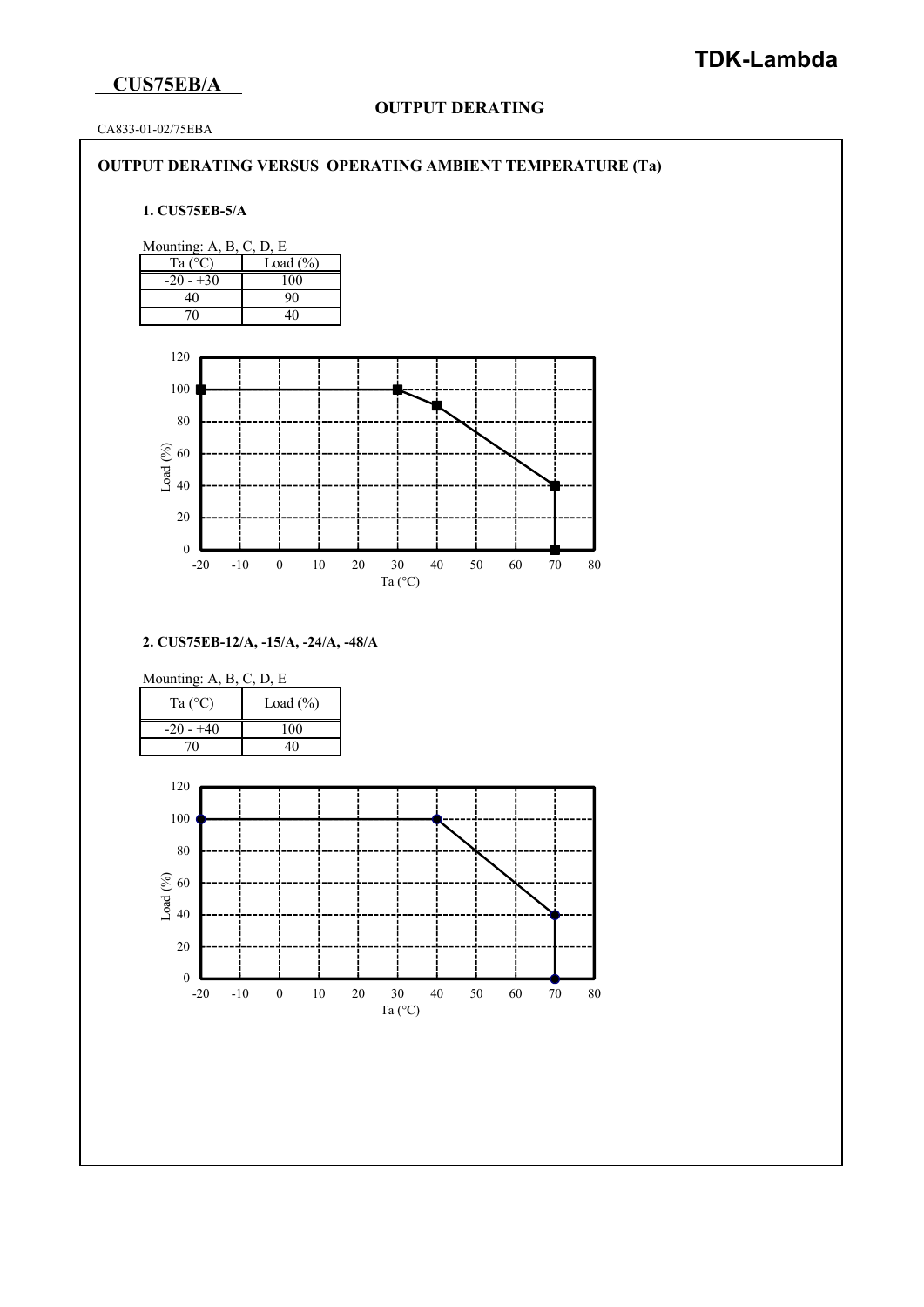# **CUS75EB/A**

## **OUTPUT DERATING**

CA833-01-02/75EBA

#### **OUTPUT DERATING VERSUS OPERATING AMBIENT TEMPERATURE (Ta)**

#### **1. CUS75EB-5/A**



**2. CUS75EB-12/A, -15/A, -24/A, -48/A**

| Ta $(^{\circ}C)$ | Load $(\% )$ |  |
|------------------|--------------|--|
| $-20 - 40$       |              |  |
|                  |              |  |